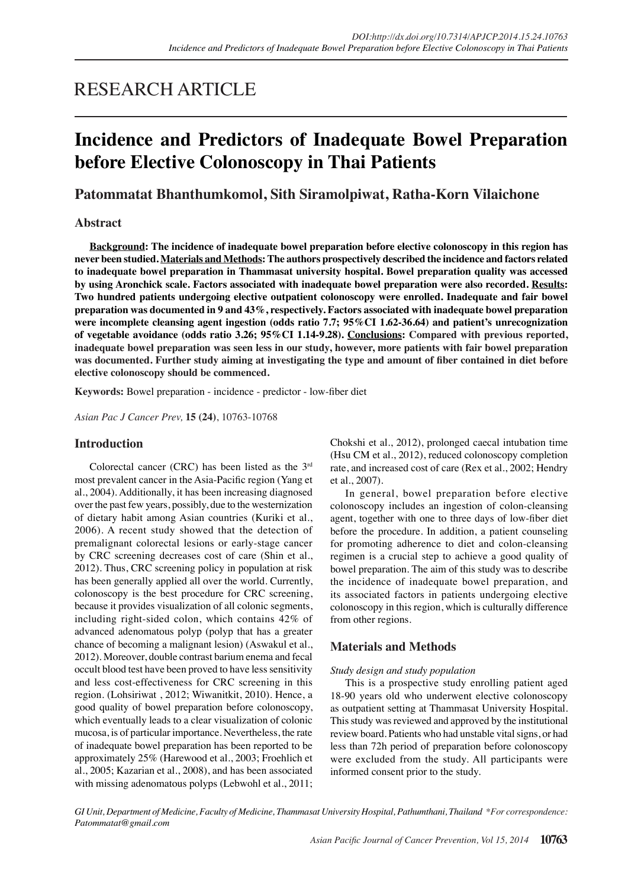# RESEARCH ARTICLE

# **Incidence and Predictors of Inadequate Bowel Preparation before Elective Colonoscopy in Thai Patients**

# **Patommatat Bhanthumkomol, Sith Siramolpiwat, Ratha-Korn Vilaichone**

## **Abstract**

**Background: The incidence of inadequate bowel preparation before elective colonoscopy in this region has never been studied. Materials and Methods: The authors prospectively described the incidence and factors related to inadequate bowel preparation in Thammasat university hospital. Bowel preparation quality was accessed by using Aronchick scale. Factors associated with inadequate bowel preparation were also recorded. Results: Two hundred patients undergoing elective outpatient colonoscopy were enrolled. Inadequate and fair bowel preparation was documented in 9 and 43%, respectively. Factors associated with inadequate bowel preparation were incomplete cleansing agent ingestion (odds ratio 7.7; 95%CI 1.62-36.64) and patient's unrecognization of vegetable avoidance (odds ratio 3.26; 95%CI 1.14-9.28). Conclusions: Compared with previous reported, inadequate bowel preparation was seen less in our study, however, more patients with fair bowel preparation was documented. Further study aiming at investigating the type and amount of fiber contained in diet before elective colonoscopy should be commenced.**

**Keywords:** Bowel preparation - incidence - predictor - low-fiber diet

*Asian Pac J Cancer Prev,* **15 (24)**, 10763-10768

## **Introduction**

Colorectal cancer (CRC) has been listed as the 3rd most prevalent cancer in the Asia-Pacific region (Yang et al., 2004). Additionally, it has been increasing diagnosed over the past few years, possibly, due to the westernization of dietary habit among Asian countries (Kuriki et al., 2006). A recent study showed that the detection of premalignant colorectal lesions or early-stage cancer by CRC screening decreases cost of care (Shin et al., 2012). Thus, CRC screening policy in population at risk has been generally applied all over the world. Currently, colonoscopy is the best procedure for CRC screening, because it provides visualization of all colonic segments, including right-sided colon, which contains 42% of advanced adenomatous polyp (polyp that has a greater chance of becoming a malignant lesion) (Aswakul et al., 2012). Moreover, double contrast barium enema and fecal occult blood test have been proved to have less sensitivity and less cost-effectiveness for CRC screening in this region. (Lohsiriwat , 2012; Wiwanitkit, 2010). Hence, a good quality of bowel preparation before colonoscopy, which eventually leads to a clear visualization of colonic mucosa, is of particular importance. Nevertheless, the rate of inadequate bowel preparation has been reported to be approximately 25% (Harewood et al., 2003; Froehlich et al., 2005; Kazarian et al., 2008), and has been associated with missing adenomatous polyps (Lebwohl et al., 2011; Chokshi et al., 2012), prolonged caecal intubation time (Hsu CM et al., 2012), reduced colonoscopy completion rate, and increased cost of care (Rex et al., 2002; Hendry et al., 2007).

In general, bowel preparation before elective colonoscopy includes an ingestion of colon-cleansing agent, together with one to three days of low-fiber diet before the procedure. In addition, a patient counseling for promoting adherence to diet and colon-cleansing regimen is a crucial step to achieve a good quality of bowel preparation. The aim of this study was to describe the incidence of inadequate bowel preparation, and its associated factors in patients undergoing elective colonoscopy in this region, which is culturally difference from other regions.

# **Materials and Methods**

## *Study design and study population*

This is a prospective study enrolling patient aged 18-90 years old who underwent elective colonoscopy as outpatient setting at Thammasat University Hospital. This study was reviewed and approved by the institutional review board. Patients who had unstable vital signs, or had less than 72h period of preparation before colonoscopy were excluded from the study. All participants were informed consent prior to the study.

*GI Unit, Department of Medicine, Faculty of Medicine, Thammasat University Hospital, Pathumthani, Thailand \*For correspondence: Patommatat@gmail.com*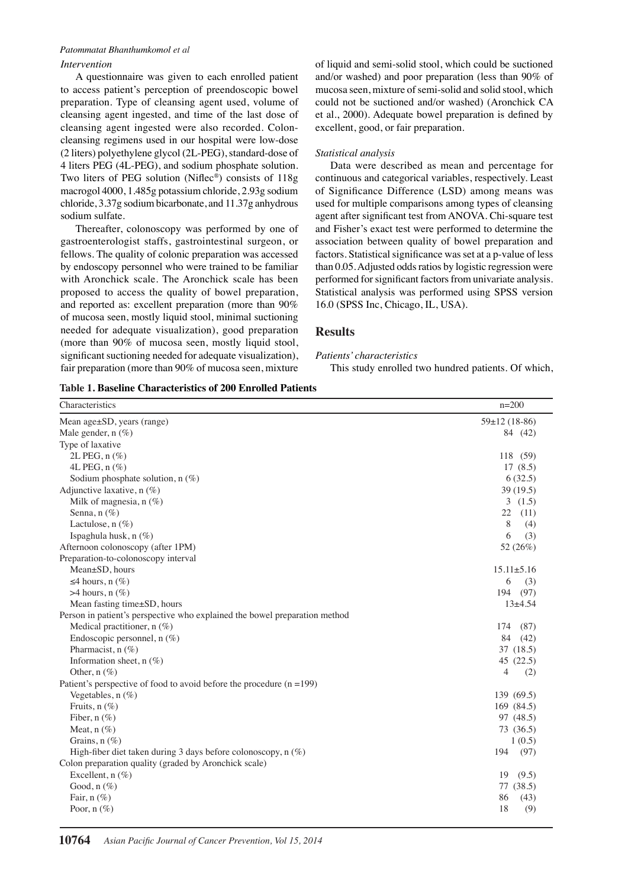#### *Patommatat Bhanthumkomol et al*

### *Intervention*

A questionnaire was given to each enrolled patient to access patient's perception of preendoscopic bowel preparation. Type of cleansing agent used, volume of cleansing agent ingested, and time of the last dose of cleansing agent ingested were also recorded. Coloncleansing regimens used in our hospital were low-dose (2 liters) polyethylene glycol (2L-PEG), standard-dose of 4 liters PEG (4L-PEG), and sodium phosphate solution. Two liters of PEG solution (Niflec®) consists of 118g macrogol 4000, 1.485g potassium chloride, 2.93g sodium chloride, 3.37g sodium bicarbonate, and 11.37g anhydrous sodium sulfate.

Thereafter, colonoscopy was performed by one of gastroenterologist staffs, gastrointestinal surgeon, or fellows. The quality of colonic preparation was accessed by endoscopy personnel who were trained to be familiar with Aronchick scale. The Aronchick scale has been proposed to access the quality of bowel preparation, and reported as: excellent preparation (more than 90% of mucosa seen, mostly liquid stool, minimal suctioning needed for adequate visualization), good preparation (more than 90% of mucosa seen, mostly liquid stool, significant suctioning needed for adequate visualization), fair preparation (more than 90% of mucosa seen, mixture of liquid and semi-solid stool, which could be suctioned and/or washed) and poor preparation (less than 90% of mucosa seen, mixture of semi-solid and solid stool, which could not be suctioned and/or washed) (Aronchick CA et al., 2000). Adequate bowel preparation is defined by excellent, good, or fair preparation.

#### *Statistical analysis*

Data were described as mean and percentage for continuous and categorical variables, respectively. Least of Significance Difference (LSD) among means was used for multiple comparisons among types of cleansing agent after significant test from ANOVA. Chi-square test and Fisher's exact test were performed to determine the association between quality of bowel preparation and factors. Statistical significance was set at a p-value of less than 0.05. Adjusted odds ratios by logistic regression were performed for significant factors from univariate analysis. Statistical analysis was performed using SPSS version 16.0 (SPSS Inc, Chicago, IL, USA).

### **Results**

*Patients' characteristics*

This study enrolled two hundred patients. Of which,

| Table 1. Baseline Characteristics of 200 Enrolled Patients |  |
|------------------------------------------------------------|--|
|------------------------------------------------------------|--|

| Characteristics                                                            | $n = 200$             |
|----------------------------------------------------------------------------|-----------------------|
| Mean age±SD, years (range)                                                 | $59 \pm 12$ (18-86)   |
| Male gender, $n$ (%)                                                       | 84 (42)               |
| Type of laxative                                                           |                       |
| 2L PEG, n (%)                                                              | 118 (59)              |
| 4L PEG, n (%)                                                              | 17(8.5)               |
| Sodium phosphate solution, $n$ (%)                                         | 6(32.5)               |
| Adjunctive laxative, n (%)                                                 | 39 (19.5)             |
| Milk of magnesia, $n$ (%)                                                  | 3(1.5)                |
| Senna, $n$ (%)                                                             | 22<br>(11)            |
| Lactulose, $n$ (%)                                                         | 8<br>(4)              |
| Ispaghula husk, n (%)                                                      | 6<br>(3)              |
| Afternoon colonoscopy (after 1PM)                                          | 52 (26%)              |
| Preparation-to-colonoscopy interval                                        |                       |
| Mean±SD, hours                                                             | $15.11 \pm 5.16$      |
| $\leq$ 4 hours, n $(\%)$                                                   | 6<br>(3)              |
| $>4$ hours, n $(\%)$                                                       | 194<br>(97)           |
| Mean fasting time±SD, hours                                                | $13 + 4.54$           |
| Person in patient's perspective who explained the bowel preparation method |                       |
| Medical practitioner, n (%)                                                | 174<br>(87)           |
| Endoscopic personnel, $n$ (%)                                              | 84<br>(42)            |
| Pharmacist, n (%)                                                          | 37 (18.5)             |
| Information sheet, $n(\%)$                                                 | 45(22.5)              |
| Other, $n$ (%)                                                             | $\overline{4}$<br>(2) |
| Patient's perspective of food to avoid before the procedure $(n = 199)$    |                       |
| Vegetables, $n$ $(\%)$                                                     | 139 (69.5)            |
| Fruits, $n$ (%)                                                            | 169 (84.5)            |
| Fiber, $n$ (%)                                                             | 97 (48.5)             |
| Meat, $n$ (%)                                                              | 73 (36.5)             |
| Grains, $n$ (%)                                                            | 1(0.5)                |
| High-fiber diet taken during 3 days before colonoscopy, $n$ (%)            | 194<br>(97)           |
| Colon preparation quality (graded by Aronchick scale)                      |                       |
| Excellent, $n(\%)$                                                         | 19<br>(9.5)           |
| Good, $n$ (%)                                                              | 77 (38.5)             |
| Fair, $n$ $(\%)$                                                           | 86<br>(43)            |
| Poor, $n(\%)$                                                              | 18<br>(9)             |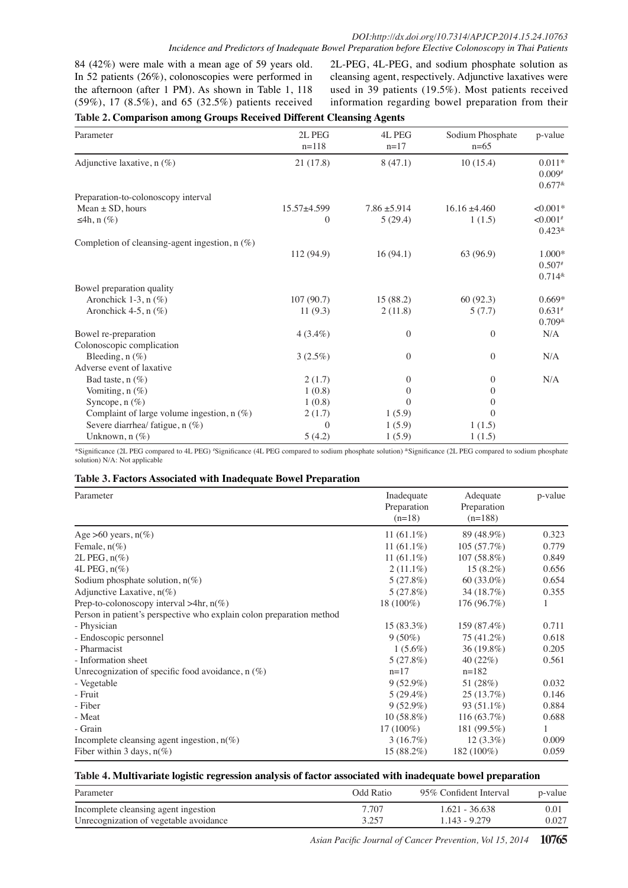84 (42%) were male with a mean age of 59 years old. In 52 patients (26%), colonoscopies were performed in the afternoon (after 1 PM). As shown in Table 1, 118 (59%), 17 (8.5%), and 65 (32.5%) patients received 2L-PEG, 4L-PEG, and sodium phosphate solution as cleansing agent, respectively. Adjunctive laxatives were used in 39 patients (19.5%). Most patients received information regarding bowel preparation from their

### **Table 2. Comparison among Groups Received Different Cleansing Agents**

| Parameter                                        | 2L PEG<br>$n=118$ | 4L PEG<br>$n=17$ | Sodium Phosphate<br>$n=65$ | p-value                 |
|--------------------------------------------------|-------------------|------------------|----------------------------|-------------------------|
| Adjunctive laxative, n (%)                       | 21(17.8)          | 8(47.1)          | 10(15.4)                   | $0.011*$                |
|                                                  |                   |                  |                            | $0.009*$                |
|                                                  |                   |                  |                            | $0.677*$                |
| Preparation-to-colonoscopy interval              |                   |                  |                            |                         |
| Mean $\pm$ SD, hours                             | $15.57 + 4.599$   | $7.86 \pm 5.914$ | $16.16 \pm 4.460$          | $< 0.001*$              |
| $\leq 4h, n(\%)$                                 | $\boldsymbol{0}$  | 5(29.4)          | 1(1.5)                     | ${<}0.001$ <sup>#</sup> |
|                                                  |                   |                  |                            | $0.423*$                |
| Completion of cleansing-agent ingestion, $n$ (%) |                   |                  |                            |                         |
|                                                  | 112 (94.9)        | 16(94.1)         | 63 (96.9)                  | $1.000*$                |
|                                                  |                   |                  |                            | $0.507*$                |
|                                                  |                   |                  |                            | $0.714*$                |
| Bowel preparation quality                        |                   |                  |                            |                         |
| Aronchick 1-3, $n$ (%)                           | 107(90.7)         | 15 (88.2)        | 60(92.3)                   | $0.669*$                |
| Aronchick 4-5, $n$ (%)                           | 11(9.3)           | 2(11.8)          | 5(7.7)                     | $0.631*$                |
|                                                  |                   |                  |                            | $0.709*$                |
| Bowel re-preparation                             | $4(3.4\%)$        | $\overline{0}$   | $\overline{0}$             | N/A                     |
| Colonoscopic complication                        |                   |                  |                            |                         |
| Bleeding, $n(\%)$                                | $3(2.5\%)$        | $\overline{0}$   | $\overline{0}$             | N/A                     |
| Adverse event of laxative                        |                   |                  |                            |                         |
| Bad taste, $n$ (%)                               | 2(1.7)            | $\mathbf{0}$     | $\overline{0}$             | N/A                     |
| Vomiting, $n$ $(\%)$                             | 1(0.8)            | $\theta$         | $\Omega$                   |                         |
| Syncope, $n$ (%)                                 | 1(0.8)            | $\Omega$         | $\Omega$                   |                         |
| Complaint of large volume ingestion, $n$ (%)     | 2(1.7)            | 1(5.9)           | $\Omega$                   |                         |
| Severe diarrhea/ fatigue, $n$ (%)                | $\Omega$          | 1(5.9)           | 1(1.5)                     |                         |
| Unknown, $n$ $(\%)$                              | 5(4.2)            | 1(5.9)           | 1(1.5)                     |                         |

\*Significance (2L PEG compared to 4L PEG) # Significance (4L PEG compared to sodium phosphate solution) &Significance (2L PEG compared to sodium phosphate solution) N/A: Not applicable

#### **Table 3. Factors Associated with Inadequate Bowel Preparation**

| Parameter                                                            | Inadequate<br>Preparation<br>$(n=18)$ | Adequate<br>Preparation<br>$(n=188)$ | p-value |
|----------------------------------------------------------------------|---------------------------------------|--------------------------------------|---------|
| Age $>60$ years, $n(\%)$                                             | 11 $(61.1\%)$                         | 89 (48.9%)                           | 0.323   |
| Female, $n(\%)$                                                      | 11 $(61.1\%)$                         | 105(57.7%)                           | 0.779   |
| $2L$ PEG, $n\%$                                                      | 11 $(61.1\%)$                         | $107(58.8\%)$                        | 0.849   |
| 4L PEG, $n\%$                                                        | $2(11.1\%)$                           | $15(8.2\%)$                          | 0.656   |
| Sodium phosphate solution, $n(\%)$                                   | 5(27.8%)                              | $60(33.0\%)$                         | 0.654   |
| Adjunctive Laxative, $n(\%)$                                         | 5(27.8%)                              | 34 (18.7%)                           | 0.355   |
| Prep-to-colonoscopy interval $>4$ hr, n(%)                           | 18 (100%)                             | 176 (96.7%)                          | 1       |
| Person in patient's perspective who explain colon preparation method |                                       |                                      |         |
| - Physician                                                          | $15(83.3\%)$                          | 159 (87.4%)                          | 0.711   |
| - Endoscopic personnel                                               | $9(50\%)$                             | 75 (41.2%)                           | 0.618   |
| - Pharmacist                                                         | $1(5.6\%)$                            | $36(19.8\%)$                         | 0.205   |
| - Information sheet                                                  | 5(27.8%)                              | 40 $(22%)$                           | 0.561   |
| Unrecognization of specific food avoidance, $n(\%)$                  | $n=17$                                | $n=182$                              |         |
| - Vegetable                                                          | $9(52.9\%)$                           | 51 (28%)                             | 0.032   |
| - Fruit                                                              | $5(29.4\%)$                           | 25(13.7%)                            | 0.146   |
| - Fiber                                                              | $9(52.9\%)$                           | 93 $(51.1\%)$                        | 0.884   |
| - Meat                                                               | $10(58.8\%)$                          | 116 (63.7%)                          | 0.688   |
| - Grain                                                              | $17(100\%)$                           | 181 (99.5%)                          | 1       |
| Incomplete cleansing agent ingestion, $n(\%)$                        | 3(16.7%)                              | $12(3.3\%)$                          | 0.009   |
| Fiber within 3 days, $n(\%)$                                         | $15(88.2\%)$                          | 182 (100%)                           | 0.059   |

#### **Table 4. Multivariate logistic regression analysis of factor associated with inadequate bowel preparation**

| Parameter                              | Odd Ratio | 95% Confident Interval | p-value |
|----------------------------------------|-----------|------------------------|---------|
| Incomplete cleansing agent ingestion   | 7.707     | $1.621 - 36.638$       | 0.01    |
| Unrecognization of vegetable avoidance | 3.257     | 1.143 - 9.279          | 0.027   |

*Asian Pacific Journal of Cancer Prevention, Vol 15, 2014* **10765**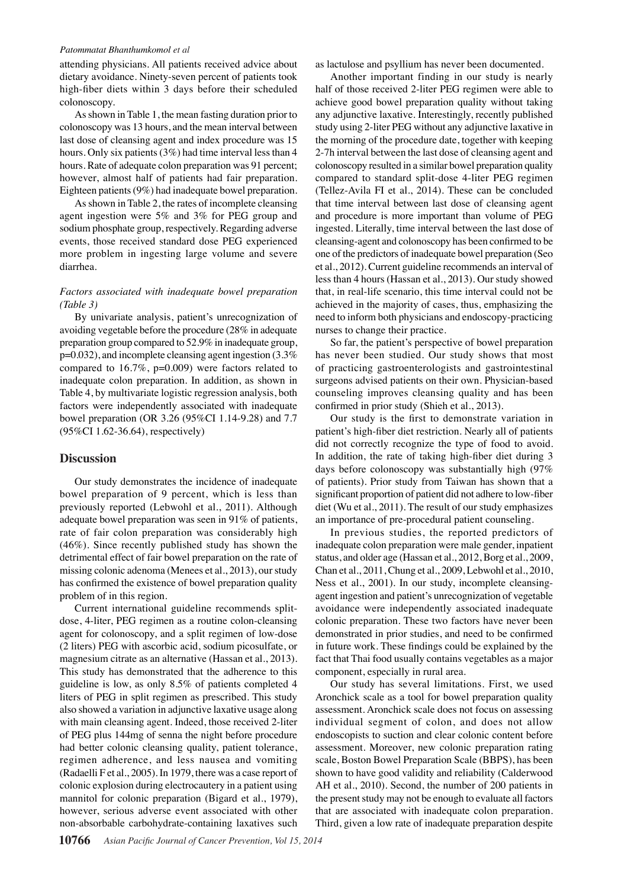#### *Patommatat Bhanthumkomol et al*

attending physicians. All patients received advice about dietary avoidance. Ninety-seven percent of patients took high-fiber diets within 3 days before their scheduled colonoscopy.

As shown in Table 1, the mean fasting duration prior to colonoscopy was 13 hours, and the mean interval between last dose of cleansing agent and index procedure was 15 hours. Only six patients (3%) had time interval less than 4 hours. Rate of adequate colon preparation was 91 percent; however, almost half of patients had fair preparation. Eighteen patients (9%) had inadequate bowel preparation.

As shown in Table 2, the rates of incomplete cleansing agent ingestion were 5% and 3% for PEG group and sodium phosphate group, respectively. Regarding adverse events, those received standard dose PEG experienced more problem in ingesting large volume and severe diarrhea.

#### *Factors associated with inadequate bowel preparation (Table 3)*

By univariate analysis, patient's unrecognization of avoiding vegetable before the procedure (28% in adequate preparation group compared to 52.9% in inadequate group, p=0.032), and incomplete cleansing agent ingestion (3.3% compared to 16.7%, p=0.009) were factors related to inadequate colon preparation. In addition, as shown in Table 4, by multivariate logistic regression analysis, both factors were independently associated with inadequate bowel preparation (OR 3.26 (95%CI 1.14-9.28) and 7.7 (95%CI 1.62-36.64), respectively)

#### **Discussion**

Our study demonstrates the incidence of inadequate bowel preparation of 9 percent, which is less than previously reported (Lebwohl et al., 2011). Although adequate bowel preparation was seen in 91% of patients, rate of fair colon preparation was considerably high (46%). Since recently published study has shown the detrimental effect of fair bowel preparation on the rate of missing colonic adenoma (Menees et al., 2013), our study has confirmed the existence of bowel preparation quality problem of in this region.

Current international guideline recommends splitdose, 4-liter, PEG regimen as a routine colon-cleansing agent for colonoscopy, and a split regimen of low-dose (2 liters) PEG with ascorbic acid, sodium picosulfate, or magnesium citrate as an alternative (Hassan et al., 2013). This study has demonstrated that the adherence to this guideline is low, as only 8.5% of patients completed 4 liters of PEG in split regimen as prescribed. This study also showed a variation in adjunctive laxative usage along with main cleansing agent. Indeed, those received 2-liter of PEG plus 144mg of senna the night before procedure had better colonic cleansing quality, patient tolerance, regimen adherence, and less nausea and vomiting (Radaelli F et al., 2005). In 1979, there was a case report of colonic explosion during electrocautery in a patient using mannitol for colonic preparation (Bigard et al., 1979), however, serious adverse event associated with other non-absorbable carbohydrate-containing laxatives such

as lactulose and psyllium has never been documented.

Another important finding in our study is nearly half of those received 2-liter PEG regimen were able to achieve good bowel preparation quality without taking any adjunctive laxative. Interestingly, recently published study using 2-liter PEG without any adjunctive laxative in the morning of the procedure date, together with keeping 2-7h interval between the last dose of cleansing agent and colonoscopy resulted in a similar bowel preparation quality compared to standard split-dose 4-liter PEG regimen (Tellez-Avila FI et al., 2014). These can be concluded that time interval between last dose of cleansing agent and procedure is more important than volume of PEG ingested. Literally, time interval between the last dose of cleansing-agent and colonoscopy has been confirmed to be one of the predictors of inadequate bowel preparation (Seo et al., 2012). Current guideline recommends an interval of less than 4 hours (Hassan et al., 2013). Our study showed that, in real-life scenario, this time interval could not be achieved in the majority of cases, thus, emphasizing the need to inform both physicians and endoscopy-practicing nurses to change their practice.

So far, the patient's perspective of bowel preparation has never been studied. Our study shows that most of practicing gastroenterologists and gastrointestinal surgeons advised patients on their own. Physician-based counseling improves cleansing quality and has been confirmed in prior study (Shieh et al., 2013).

Our study is the first to demonstrate variation in patient's high-fiber diet restriction. Nearly all of patients did not correctly recognize the type of food to avoid. In addition, the rate of taking high-fiber diet during 3 days before colonoscopy was substantially high (97% of patients). Prior study from Taiwan has shown that a significant proportion of patient did not adhere to low-fiber diet (Wu et al., 2011). The result of our study emphasizes an importance of pre-procedural patient counseling.

In previous studies, the reported predictors of inadequate colon preparation were male gender, inpatient status, and older age (Hassan et al., 2012, Borg et al., 2009, Chan et al., 2011, Chung et al., 2009, Lebwohl et al., 2010, Ness et al., 2001). In our study, incomplete cleansingagent ingestion and patient's unrecognization of vegetable avoidance were independently associated inadequate colonic preparation. These two factors have never been demonstrated in prior studies, and need to be confirmed in future work. These findings could be explained by the fact that Thai food usually contains vegetables as a major component, especially in rural area.

Our study has several limitations. First, we used Aronchick scale as a tool for bowel preparation quality assessment. Aronchick scale does not focus on assessing individual segment of colon, and does not allow endoscopists to suction and clear colonic content before assessment. Moreover, new colonic preparation rating scale, Boston Bowel Preparation Scale (BBPS), has been shown to have good validity and reliability (Calderwood AH et al., 2010). Second, the number of 200 patients in the present study may not be enough to evaluate all factors that are associated with inadequate colon preparation. Third, given a low rate of inadequate preparation despite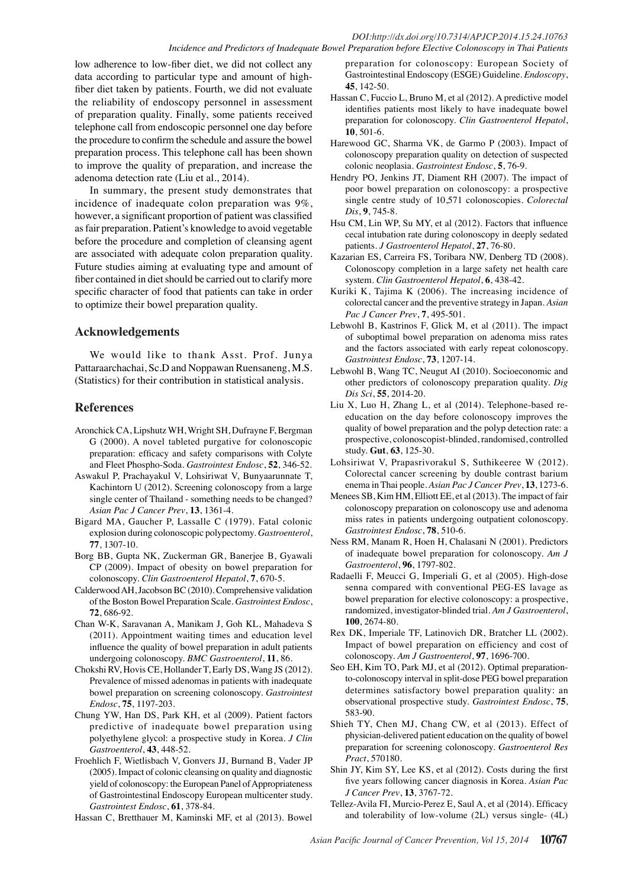#### *DOI:http://dx.doi.org/10.7314/APJCP.2014.15.24.10763 Incidence and Predictors of Inadequate Bowel Preparation before Elective Colonoscopy in Thai Patients*

low adherence to low-fiber diet, we did not collect any data according to particular type and amount of highfiber diet taken by patients. Fourth, we did not evaluate the reliability of endoscopy personnel in assessment of preparation quality. Finally, some patients received telephone call from endoscopic personnel one day before the procedure to confirm the schedule and assure the bowel preparation process. This telephone call has been shown to improve the quality of preparation, and increase the adenoma detection rate (Liu et al., 2014).

In summary, the present study demonstrates that incidence of inadequate colon preparation was 9%, however, a significant proportion of patient was classified as fair preparation. Patient's knowledge to avoid vegetable before the procedure and completion of cleansing agent are associated with adequate colon preparation quality. Future studies aiming at evaluating type and amount of fiber contained in diet should be carried out to clarify more specific character of food that patients can take in order to optimize their bowel preparation quality.

## **Acknowledgements**

We would like to thank Asst. Prof. Junya Pattaraarchachai, Sc.D and Noppawan Ruensaneng, M.S. (Statistics) for their contribution in statistical analysis.

## **References**

- Aronchick CA, Lipshutz WH, Wright SH, Dufrayne F, Bergman G (2000). A novel tableted purgative for colonoscopic preparation: efficacy and safety comparisons with Colyte and Fleet Phospho-Soda. *Gastrointest Endosc*, **52**, 346-52.
- Aswakul P, Prachayakul V, Lohsiriwat V, Bunyaarunnate T, Kachintorn U (2012). Screening colonoscopy from a large single center of Thailand - something needs to be changed? *Asian Pac J Cancer Prev*, **13**, 1361-4.
- Bigard MA, Gaucher P, Lassalle C (1979). Fatal colonic explosion during colonoscopic polypectomy. *Gastroenterol*, **77**, 1307-10.
- Borg BB, Gupta NK, Zuckerman GR, Banerjee B, Gyawali CP (2009). Impact of obesity on bowel preparation for colonoscopy. *Clin Gastroenterol Hepatol*, **7**, 670-5.
- Calderwood AH, Jacobson BC (2010). Comprehensive validation of the Boston Bowel Preparation Scale. *Gastrointest Endosc*, **72**, 686-92.
- Chan W-K, Saravanan A, Manikam J, Goh KL, Mahadeva S (2011). Appointment waiting times and education level influence the quality of bowel preparation in adult patients undergoing colonoscopy. *BMC Gastroenterol*, **11**, 86.
- Chokshi RV, Hovis CE, Hollander T, Early DS, Wang JS (2012). Prevalence of missed adenomas in patients with inadequate bowel preparation on screening colonoscopy. *Gastrointest Endosc*, **75**, 1197-203.
- Chung YW, Han DS, Park KH, et al (2009). Patient factors predictive of inadequate bowel preparation using polyethylene glycol: a prospective study in Korea. *J Clin Gastroenterol*, **43**, 448-52.
- Froehlich F, Wietlisbach V, Gonvers JJ, Burnand B, Vader JP (2005). Impact of colonic cleansing on quality and diagnostic yield of colonoscopy: the European Panel of Appropriateness of Gastrointestinal Endoscopy European multicenter study. *Gastrointest Endosc*, **61**, 378-84.

Hassan C, Bretthauer M, Kaminski MF, et al (2013). Bowel

preparation for colonoscopy: European Society of Gastrointestinal Endoscopy (ESGE) Guideline. *Endoscopy*, **45**, 142-50.

- Hassan C, Fuccio L, Bruno M, et al (2012). A predictive model identifies patients most likely to have inadequate bowel preparation for colonoscopy. *Clin Gastroenterol Hepatol*, **10**, 501-6.
- Harewood GC, Sharma VK, de Garmo P (2003). Impact of colonoscopy preparation quality on detection of suspected colonic neoplasia. *Gastrointest Endosc*, **5**, 76-9.
- Hendry PO, Jenkins JT, Diament RH (2007). The impact of poor bowel preparation on colonoscopy: a prospective single centre study of 10,571 colonoscopies. *Colorectal Dis*, **9**, 745-8.
- Hsu CM, Lin WP, Su MY, et al (2012). Factors that influence cecal intubation rate during colonoscopy in deeply sedated patients. *J Gastroenterol Hepatol*, **27**, 76-80.
- Kazarian ES, Carreira FS, Toribara NW, Denberg TD (2008). Colonoscopy completion in a large safety net health care system. *Clin Gastroenterol Hepatol*, **6**, 438-42.
- Kuriki K, Tajima K (2006). The increasing incidence of colorectal cancer and the preventive strategy in Japan. *Asian Pac J Cancer Prev*, **7**, 495-501.
- Lebwohl B, Kastrinos F, Glick M, et al (2011). The impact of suboptimal bowel preparation on adenoma miss rates and the factors associated with early repeat colonoscopy. *Gastrointest Endosc*, **73**, 1207-14.
- Lebwohl B, Wang TC, Neugut AI (2010). Socioeconomic and other predictors of colonoscopy preparation quality. *Dig Dis Sci*, **55**, 2014-20.
- Liu X, Luo H, Zhang L, et al (2014). Telephone-based reeducation on the day before colonoscopy improves the quality of bowel preparation and the polyp detection rate: a prospective, colonoscopist-blinded, randomised, controlled study. **Gut**, **63**, 125-30.
- Lohsiriwat V, Prapasrivorakul S, Suthikeeree W (2012). Colorectal cancer screening by double contrast barium enema in Thai people. *Asian Pac J Cancer Prev*, **13**, 1273-6.
- Menees SB, Kim HM, Elliott EE, et al (2013). The impact of fair colonoscopy preparation on colonoscopy use and adenoma miss rates in patients undergoing outpatient colonoscopy. *Gastrointest Endosc*, **78**, 510-6.
- Ness RM, Manam R, Hoen H, Chalasani N (2001). Predictors of inadequate bowel preparation for colonoscopy. *Am J Gastroenterol*, **96**, 1797-802.
- Radaelli F, Meucci G, Imperiali G, et al (2005). High-dose senna compared with conventional PEG-ES lavage as bowel preparation for elective colonoscopy: a prospective, randomized, investigator-blinded trial. *Am J Gastroenterol*, **100**, 2674-80.
- Rex DK, Imperiale TF, Latinovich DR, Bratcher LL (2002). Impact of bowel preparation on efficiency and cost of colonoscopy. *Am J Gastroenterol*, **97**, 1696-700.
- Seo EH, Kim TO, Park MJ, et al (2012). Optimal preparationto-colonoscopy interval in split-dose PEG bowel preparation determines satisfactory bowel preparation quality: an observational prospective study. *Gastrointest Endosc*, **75**, 583-90.
- Shieh TY, Chen MJ, Chang CW, et al (2013). Effect of physician-delivered patient education on the quality of bowel preparation for screening colonoscopy. *Gastroenterol Res Pract*, 570180.
- Shin JY, Kim SY, Lee KS, et al (2012). Costs during the first five years following cancer diagnosis in Korea. *Asian Pac J Cancer Prev*, **13**, 3767-72.
- Tellez-Avila FI, Murcio-Perez E, Saul A, et al (2014). Efficacy and tolerability of low-volume (2L) versus single- (4L)